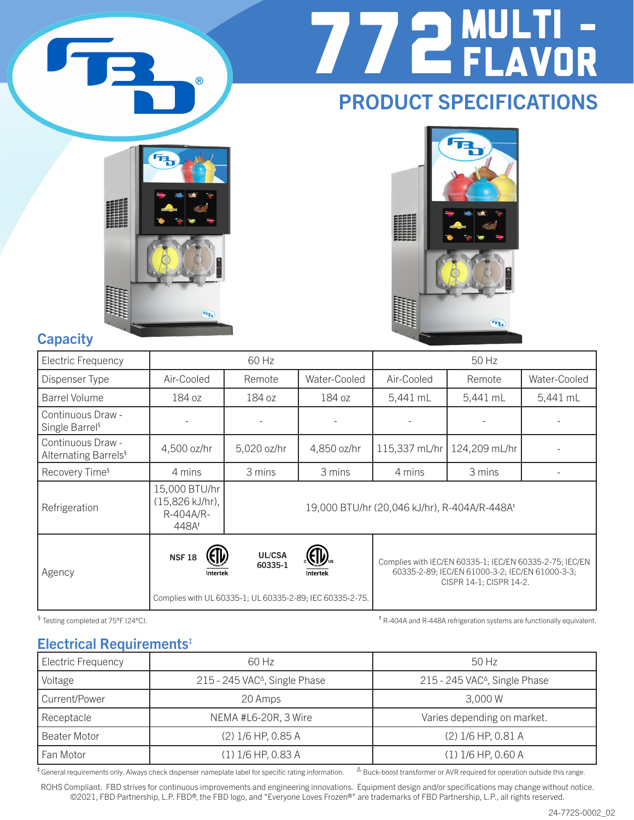

# 772MULTI - FLAVOR

## PRODUCT SPECIFICATIONS





#### **Capacity**

| <b>Electric Frequency</b>                             |                                                        | 60 Hz             |                                                                      |                                              | 50 Hz                                                                                                                                 |              |
|-------------------------------------------------------|--------------------------------------------------------|-------------------|----------------------------------------------------------------------|----------------------------------------------|---------------------------------------------------------------------------------------------------------------------------------------|--------------|
| Dispenser Type                                        | Air-Cooled                                             | Remote            | Water-Cooled                                                         | Air-Cooled                                   | Remote                                                                                                                                | Water-Cooled |
| Barrel Volume                                         | 184 oz                                                 | 184 oz            | 184 oz                                                               | 5,441 mL                                     | 5,441 mL                                                                                                                              | 5,441 mL     |
| Continuous Draw -<br>Single Barrel <sup>§</sup>       |                                                        |                   |                                                                      |                                              |                                                                                                                                       |              |
| Continuous Draw -<br>Alternating Barrels <sup>§</sup> | 4,500 oz/hr                                            | 5,020 oz/hr       | 4,850 oz/hr                                                          | 115,337 mL/hr                                | 124,209 mL/hr                                                                                                                         |              |
| Recovery Time <sup>§</sup>                            | 4 mins                                                 | 3 mins            | 3 mins                                                               | 4 mins                                       | 3 mins                                                                                                                                |              |
| Refrigeration                                         | 15,000 BTU/hr<br>(15,826 kJ/hr),<br>R-404A/R-<br>448At |                   |                                                                      | 19,000 BTU/hr (20,046 kJ/hr), R-404A/R-448At |                                                                                                                                       |              |
| Agency                                                | <b>NSF18</b><br>Intertek                               | UL/CSA<br>60335-1 | Intertek<br>Complies with UL 60335-1; UL 60335-2-89; IEC 60335-2-75. |                                              | Complies with IEC/EN 60335-1; IEC/EN 60335-2-75; IEC/EN<br>60335-2-89; IEC/EN 61000-3-2; IEC/EN 61000-3-3;<br>CISPR 14-1; CISPR 14-2. |              |

§ Testing completed at 75°F (24°C). the R-404A refrigeration systems are functionally equivalent.

#### Electrical Requirements‡

| Electric Frequency | 60 Hz                                     | 50 Hz                                     |  |  |  |
|--------------------|-------------------------------------------|-------------------------------------------|--|--|--|
| Voltage            | 215 - 245 VAC <sup>Δ</sup> , Single Phase | 215 - 245 VAC <sup>^</sup> , Single Phase |  |  |  |
| Current/Power      | 20 Amps                                   | 3.000 W                                   |  |  |  |
| Receptacle         | NEMA #L6-20R, 3 Wire                      | Varies depending on market.               |  |  |  |
| Beater Motor       | (2) 1/6 HP, 0.85 A                        | (2) 1/6 HP, 0.81 A                        |  |  |  |
| Fan Motor          | $(1)$ 1/6 HP, 0.83 A                      | $(1)$ 1/6 HP, 0.60 A                      |  |  |  |

<sup>‡</sup> General requirements only. Always check dispenser nameplate label for specific rating information. <sup>Δ</sup> Buck-boost transformer or AVR required for operation outside this range.

ROHS Compliant. FBD strives for continuous improvements and engineering innovations. Equipment design and/or specifications may change without notice. ©2021, FBD Partnership, L.P. FBD®, the FBD logo, and "Everyone Loves Frozen®" are trademarks of FBD Partnership, L.P., all rights reserved.